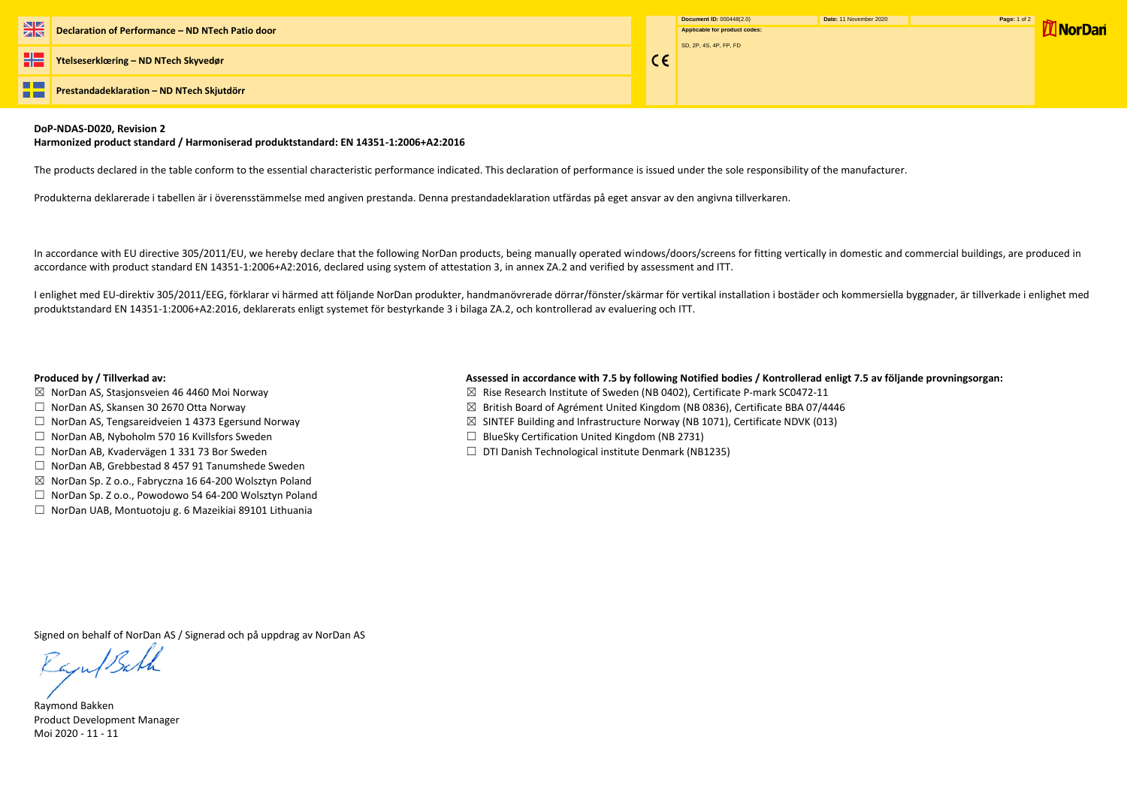**Ytelseserklœring – ND NTech Skyvedør**

**The Second Prestandadeklaration – ND NTech Skjutdörr** --

| Document ID: 000448(2.0)      | Date: 11 November 2020 | Page: 1 of 2 |
|-------------------------------|------------------------|--------------|
| Applicable for product codes: |                        |              |
|                               |                        |              |
| SD, 2P, 4S, 4P, FP, FD        |                        |              |
|                               |                        |              |
|                               |                        |              |
|                               |                        |              |
|                               |                        |              |
|                               |                        |              |

## **DoP-NDAS-D020, Revision 2**

### **Harmonized product standard / Harmoniserad produktstandard: EN 14351-1:2006+A2:2016**

The products declared in the table conform to the essential characteristic performance indicated. This declaration of performance is issued under the sole responsibility of the manufacturer.

Produkterna deklarerade i tabellen är i överensstämmelse med angiven prestanda. Denna prestandadeklaration utfärdas på eget ansvar av den angivna tillverkaren.

I enlighet med EU-direktiv 305/2011/EEG, förklarar vi härmed att följande NorDan produkter, handmanövrerade dörrar/fönster/skärmar för vertikal installation i bostäder och kommersiella byggnader, är tillverkade i enlighet produktstandard EN 14351-1:2006+A2:2016, deklarerats enligt systemet för bestyrkande 3 i bilaga ZA.2, och kontrollerad av evaluering och ITT.

In accordance with EU directive 305/2011/EU, we hereby declare that the following NorDan products, being manually operated windows/doors/screens for fitting vertically in domestic and commercial buildings, are produced in accordance with product standard EN 14351-1:2006+A2:2016, declared using system of attestation 3, in annex ZA.2 and verified by assessment and ITT.

# **Produced by / Tillverkad av: Assessed in accordance with 7.5 by following Notified bodies / Kontrollerad enligt 7.5 av följande provningsorgan:**

 $C \in$ 

- ☒ NorDan AS, Stasjonsveien 46 4460 Moi Norway ☒ Rise Research Institute of Sweden (NB 0402), Certificate P-mark SC0472-11
- ☐ NorDan AS, Skansen 30 2670 Otta Norway ☒ British Board of Agrément United Kingdom (NB 0836), Certificate BBA 07/4446
- ☐ NorDan AS, Tengsareidveien 1 4373 Egersund Norway ☒ SINTEF Building and Infrastructure Norway (NB 1071), Certificate NDVK (013)
- ☐ NorDan AB, Nyboholm 570 16 Kvillsfors Sweden ☐ BlueSky Certification United Kingdom (NB 2731)
- ☐ NorDan AB, Kvadervägen 1 331 73 Bor Sweden ☐ DTI Danish Technological institute Denmark (NB1235)
- 
- 
- 
- 
- 
- ☐ NorDan AB, Grebbestad 8 457 91 Tanumshede Sweden
- ☒ NorDan Sp. Z o.o., Fabryczna 16 64-200 Wolsztyn Poland
- ☐ NorDan Sp. Z o.o., Powodowo 54 64-200 Wolsztyn Poland
- ☐ NorDan UAB, Montuotoju g. 6 Mazeikiai 89101 Lithuania

Signed on behalf of NorDan AS / Signerad och på uppdrag av NorDan AS

Raju/Bath

Raymond Bakken Product Development Manager Moi 2020 - 11 - 11

**M** NorDan